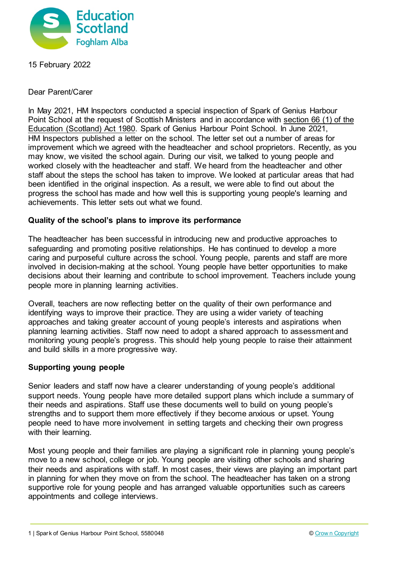

15 February 2022

Dear Parent/Carer

In May 2021, HM Inspectors conducted a special inspection of Spark of Genius Harbour Point School at the request of Scottish Ministers and in accordance with [section 66 \(1\) of the](http://www.legislation.gov.uk/ukpga/1980/44/section/66)  [Education \(Scotland\) Act 1980.](http://www.legislation.gov.uk/ukpga/1980/44/section/66) Spark of Genius Harbour Point School. In June 2021, HM Inspectors published a letter on the school. The letter set out a number of areas for improvement which we agreed with the headteacher and school proprietors. Recently, as you may know, we visited the school again. During our visit, we talked to young people and worked closely with the headteacher and staff. We heard from the headteacher and other staff about the steps the school has taken to improve. We looked at particular areas that had been identified in the original inspection. As a result, we were able to find out about the progress the school has made and how well this is supporting young people's learning and achievements. This letter sets out what we found.

# **Quality of the school's plans to improve its performance**

The headteacher has been successful in introducing new and productive approaches to safeguarding and promoting positive relationships. He has continued to develop a more caring and purposeful culture across the school. Young people, parents and staff are more involved in decision-making at the school. Young people have better opportunities to make decisions about their learning and contribute to school improvement. Teachers include young people more in planning learning activities.

Overall, teachers are now reflecting better on the quality of their own performance and identifying ways to improve their practice. They are using a wider variety of teaching approaches and taking greater account of young people's interests and aspirations when planning learning activities. Staff now need to adopt a shared approach to assessment and monitoring young people's progress. This should help young people to raise their attainment and build skills in a more progressive way.

# **Supporting young people**

Senior leaders and staff now have a clearer understanding of young people's additional support needs. Young people have more detailed support plans which include a summary of their needs and aspirations. Staff use these documents well to build on young people's strengths and to support them more effectively if they become anxious or upset. Young people need to have more involvement in setting targets and checking their own progress with their learning.

Most young people and their families are playing a significant role in planning young people's move to a new school, college or job. Young people are visiting other schools and sharing their needs and aspirations with staff. In most cases, their views are playing an important part in planning for when they move on from the school. The headteacher has taken on a strong supportive role for young people and has arranged valuable opportunities such as careers appointments and college interviews.